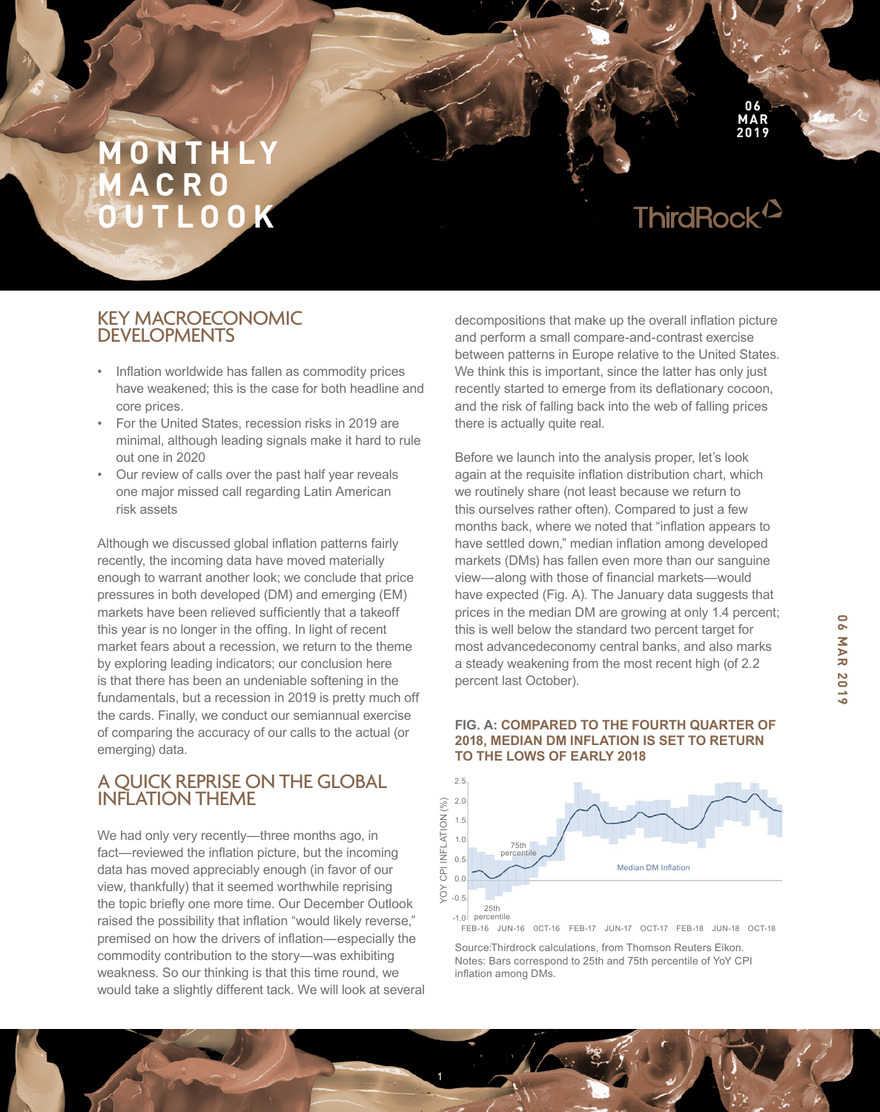ThirdRock<sup>12</sup>

**06 MAR 2019**

# KEY MACROECONOMIC DEVELOPMENTS

- Inflation worldwide has fallen as commodity prices have weakened; this is the case for both headline and core prices.
- For the United States, recession risks in 2019 are minimal, although leading signals make it hard to rule out one in 2020
- Our review of calls over the past half year reveals one major missed call regarding Latin American risk assets

Although we discussed global inflation patterns fairly recently, the incoming data have moved materially enough to warrant another look; we conclude that price pressures in both developed (DM) and emerging (EM) markets have been relieved sufficiently that a takeoff this year is no longer in the offing. In light of recent market fears about a recession, we return to the theme by exploring leading indicators; our conclusion here is that there has been an undeniable softening in the fundamentals, but a recession in 2019 is pretty much off the cards. Finally, we conduct our semiannual exercise of comparing the accuracy of our calls to the actual (or emerging) data.

# A QUICK REPRISE ON THE GLOBAL INFLATION THEME

We had only very recently—three months ago, in fact—reviewed the inflation picture, but the incoming data has moved appreciably enough (in favor of our view, thankfully) that it seemed worthwhile reprising the topic briefly one more time. Our December Outlook raised the possibility that inflation "would likely reverse," premised on how the drivers of inflation—especially the commodity contribution to the story—was exhibiting weakness. So our thinking is that this time round, we would take a slightly different tack. We will look at several decompositions that make up the overall inflation picture and perform a small compare-and-contrast exercise between patterns in Europe relative to the United States. We think this is important, since the latter has only just recently started to emerge from its deflationary cocoon, and the risk of falling back into the web of falling prices there is actually quite real.

Before we launch into the analysis proper, let's look again at the requisite inflation distribution chart, which we routinely share (not least because we return to this ourselves rather often). Compared to just a few months back, where we noted that "inflation appears to have settled down," median inflation among developed markets (DMs) has fallen even more than our sanguine view—along with those of financial markets—would have expected (Fig. A). The January data suggests that prices in the median DM are growing at only 1.4 percent; this is well below the standard two percent target for most advancedeconomy central banks, and also marks a steady weakening from the most recent high (of 2.2 percent last October).

#### **FIG. A: COMPARED TO THE FOURTH QUARTER OF 2018, MEDIAN DM INFLATION IS SET TO RETURN TO THE LOWS OF EARLY 2018**



Source:Thirdrock calculations, from Thomson Reuters Eikon. Notes: Bars correspond to 25th and 75th percentile of YoY CPI inflation among DMs.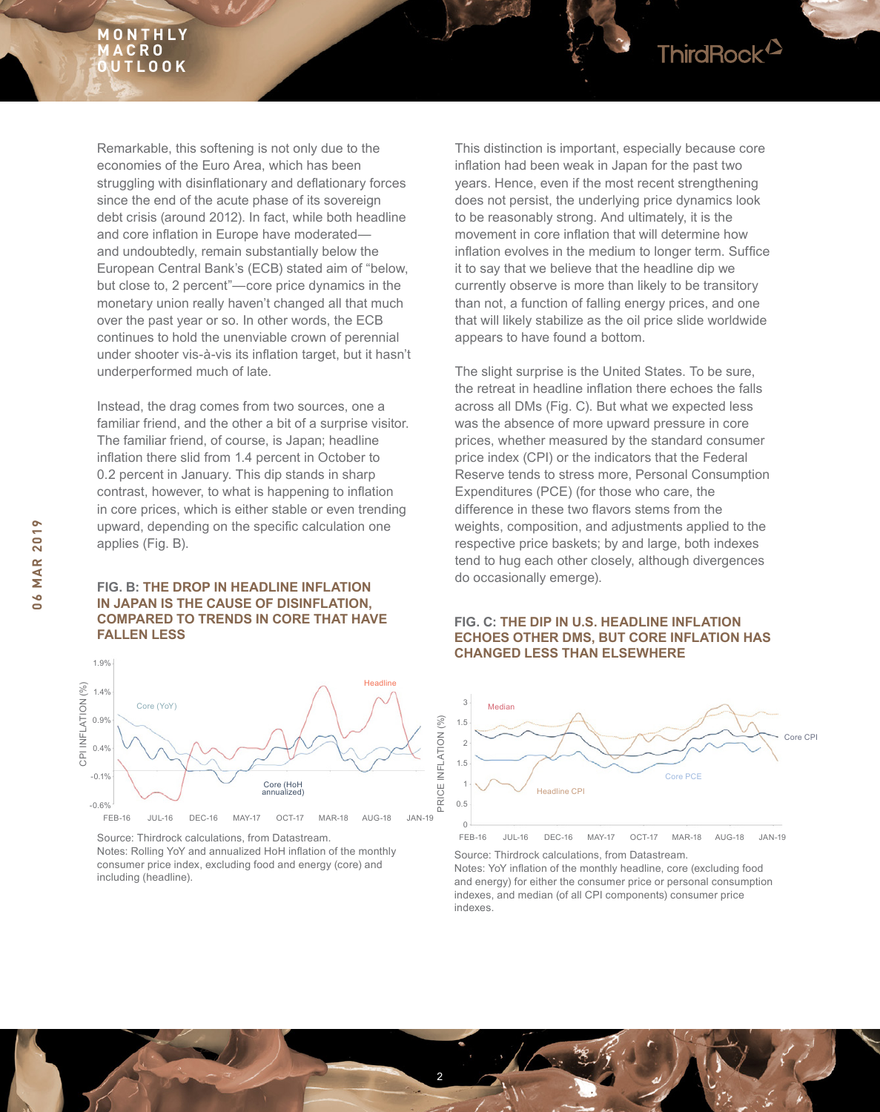

Instead, the drag comes from two sources, one a familiar friend, and the other a bit of a surprise visitor. The familiar friend, of course, is Japan; headline inflation there slid from 1.4 percent in October to 0.2 percent in January. This dip stands in sharp contrast, however, to what is happening to inflation in core prices, which is either stable or even trending upward, depending on the specific calculation one applies (Fig. B).

#### **FIG. B: THE DROP IN HEADLINE INFLATION IN JAPAN IS THE CAUSE OF DISINFLATION, COMPARED TO TRENDS IN CORE THAT HAVE FALLEN LESS**



Source: Thirdrock calculations, from Datastream.

Notes: Rolling YoY and annualized HoH inflation of the monthly consumer price index, excluding food and energy (core) and including (headline).

This distinction is important, especially because core inflation had been weak in Japan for the past two years. Hence, even if the most recent strengthening does not persist, the underlying price dynamics look to be reasonably strong. And ultimately, it is the movement in core inflation that will determine how inflation evolves in the medium to longer term. Suffice it to say that we believe that the headline dip we currently observe is more than likely to be transitory than not, a function of falling energy prices, and one that will likely stabilize as the oil price slide worldwide appears to have found a bottom.

The slight surprise is the United States. To be sure, the retreat in headline inflation there echoes the falls across all DMs (Fig. C). But what we expected less was the absence of more upward pressure in core prices, whether measured by the standard consumer price index (CPI) or the indicators that the Federal Reserve tends to stress more, Personal Consumption Expenditures (PCE) (for those who care, the difference in these two flavors stems from the weights, composition, and adjustments applied to the respective price baskets; by and large, both indexes tend to hug each other closely, although divergences do occasionally emerge).

#### **FIG. C: THE DIP IN U.S. HEADLINE INFLATION ECHOES OTHER DMS, BUT CORE INFLATION HAS CHANGED LESS THAN ELSEWHERE**



Source: Thirdrock calculations, from Datastream. Notes: YoY inflation of the monthly headline, core (excluding food and energy) for either the consumer price or personal consumption indexes, and median (of all CPI components) consumer price indexes.

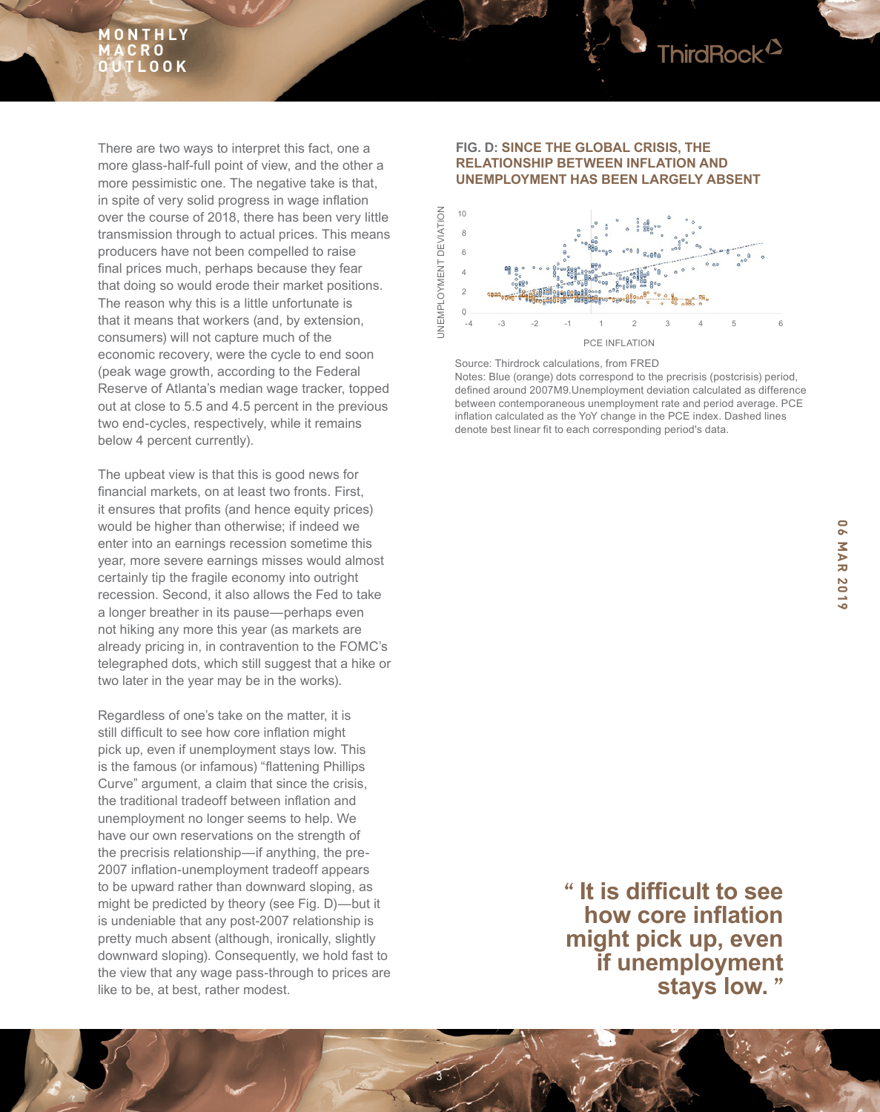

There are two ways to interpret this fact, one a more glass-half-full point of view, and the other a more pessimistic one. The negative take is that, in spite of very solid progress in wage inflation over the course of 2018, there has been very little transmission through to actual prices. This means producers have not been compelled to raise final prices much, perhaps because they fear that doing so would erode their market positions. The reason why this is a little unfortunate is that it means that workers (and, by extension, consumers) will not capture much of the economic recovery, were the cycle to end soon (peak wage growth, according to the Federal Reserve of Atlanta's median wage tracker, topped out at close to 5.5 and 4.5 percent in the previous two end-cycles, respectively, while it remains below 4 percent currently).

The upbeat view is that this is good news for financial markets, on at least two fronts. First, it ensures that profits (and hence equity prices) would be higher than otherwise; if indeed we enter into an earnings recession sometime this year, more severe earnings misses would almost certainly tip the fragile economy into outright recession. Second, it also allows the Fed to take a longer breather in its pause—perhaps even not hiking any more this year (as markets are already pricing in, in contravention to the FOMC's telegraphed dots, which still suggest that a hike or two later in the year may be in the works).

Regardless of one's take on the matter, it is still difficult to see how core inflation might pick up, even if unemployment stays low. This is the famous (or infamous) "flattening Phillips Curve" argument, a claim that since the crisis, the traditional tradeoff between inflation and unemployment no longer seems to help. We have our own reservations on the strength of the precrisis relationship—if anything, the pre-2007 inflation-unemployment tradeoff appears to be upward rather than downward sloping, as might be predicted by theory (see Fig. D)—but it is undeniable that any post-2007 relationship is pretty much absent (although, ironically, slightly downward sloping). Consequently, we hold fast to the view that any wage pass-through to prices are like to be, at best, rather modest.

#### **FIG. D: SINCE THE GLOBAL CRISIS, THE RELATIONSHIP BETWEEN INFLATION AND UNEMPLOYMENT HAS BEEN LARGELY ABSENT**



Source: Thirdrock calculations, from FRED

Notes: Blue (orange) dots correspond to the precrisis (postcrisis) period, defined around 2007M9.Unemployment deviation calculated as difference between contemporaneous unemployment rate and period average. PCE inflation calculated as the YoY change in the PCE index. Dashed lines denote best linear fit to each corresponding period's data.

**" It is difficult to see how core inflation might pick up, even if unemployment stays low. "**

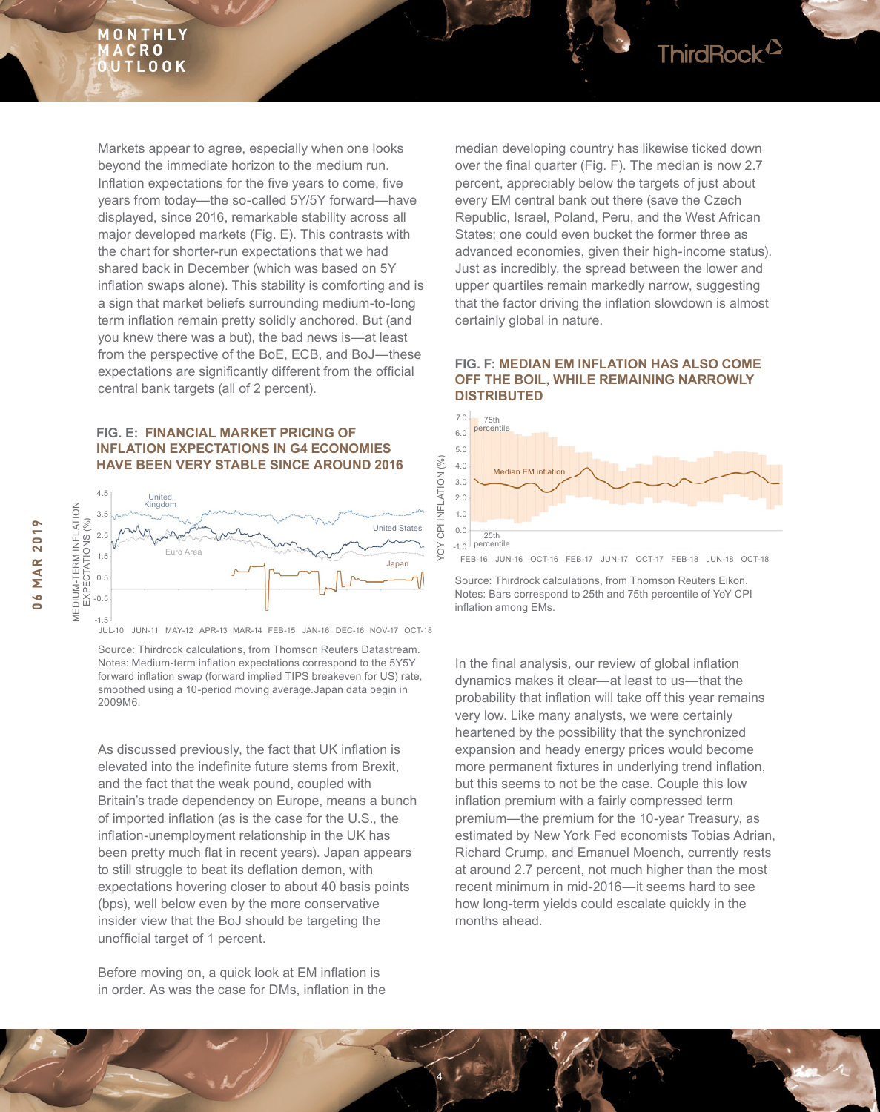

#### **FIG. E: FINANCIAL MARKET PRICING OF INFLATION EXPECTATIONS IN G4 ECONOMIES HAVE BEEN VERY STABLE SINCE AROUND 2016**



JUL-10 JUN-11 MAY-12 APR-13 MAR-14 FEB-15 JAN-16 DEC-16 NOV-17 OCT-18

Source: Thirdrock calculations, from Thomson Reuters Datastream. Notes: Medium-term inflation expectations correspond to the 5Y5Y forward inflation swap (forward implied TIPS breakeven for US) rate, smoothed using a 10-period moving average.Japan data begin in 2009M6.

As discussed previously, the fact that UK inflation is elevated into the indefinite future stems from Brexit, and the fact that the weak pound, coupled with Britain's trade dependency on Europe, means a bunch of imported inflation (as is the case for the U.S., the inflation-unemployment relationship in the UK has been pretty much flat in recent years). Japan appears to still struggle to beat its deflation demon, with expectations hovering closer to about 40 basis points (bps), well below even by the more conservative insider view that the BoJ should be targeting the unofficial target of 1 percent.

Before moving on, a quick look at EM inflation is in order. As was the case for DMs, inflation in the median developing country has likewise ticked down over the final quarter (Fig. F). The median is now 2.7 percent, appreciably below the targets of just about every EM central bank out there (save the Czech Republic, Israel, Poland, Peru, and the West African States; one could even bucket the former three as advanced economies, given their high-income status). Just as incredibly, the spread between the lower and upper quartiles remain markedly narrow, suggesting that the factor driving the inflation slowdown is almost certainly global in nature.

ThirdRock<sup>2</sup>

#### **FIG. F: MEDIAN EM INFLATION HAS ALSO COME OFF THE BOIL, WHILE REMAINING NARROWLY DISTRIBUTED**



FEB-16 JUN-16 OCT-16 FEB-17 JUN-17 OCT-17 FEB-18 JUN-18 OCT-18

Source: Thirdrock calculations, from Thomson Reuters Eikon. Notes: Bars correspond to 25th and 75th percentile of YoY CPI inflation among EMs.

In the final analysis, our review of global inflation dynamics makes it clear—at least to us—that the probability that inflation will take off this year remains very low. Like many analysts, we were certainly heartened by the possibility that the synchronized expansion and heady energy prices would become more permanent fixtures in underlying trend inflation, but this seems to not be the case. Couple this low inflation premium with a fairly compressed term premium—the premium for the 10-year Treasury, as estimated by New York Fed economists Tobias Adrian, Richard Crump, and Emanuel Moench, currently rests at around 2.7 percent, not much higher than the most recent minimum in mid-2016—it seems hard to see how long-term yields could escalate quickly in the months ahead.



YOY CPI INFLATION (%)

흥 YO

**NFLATION** 

 $(9/0)$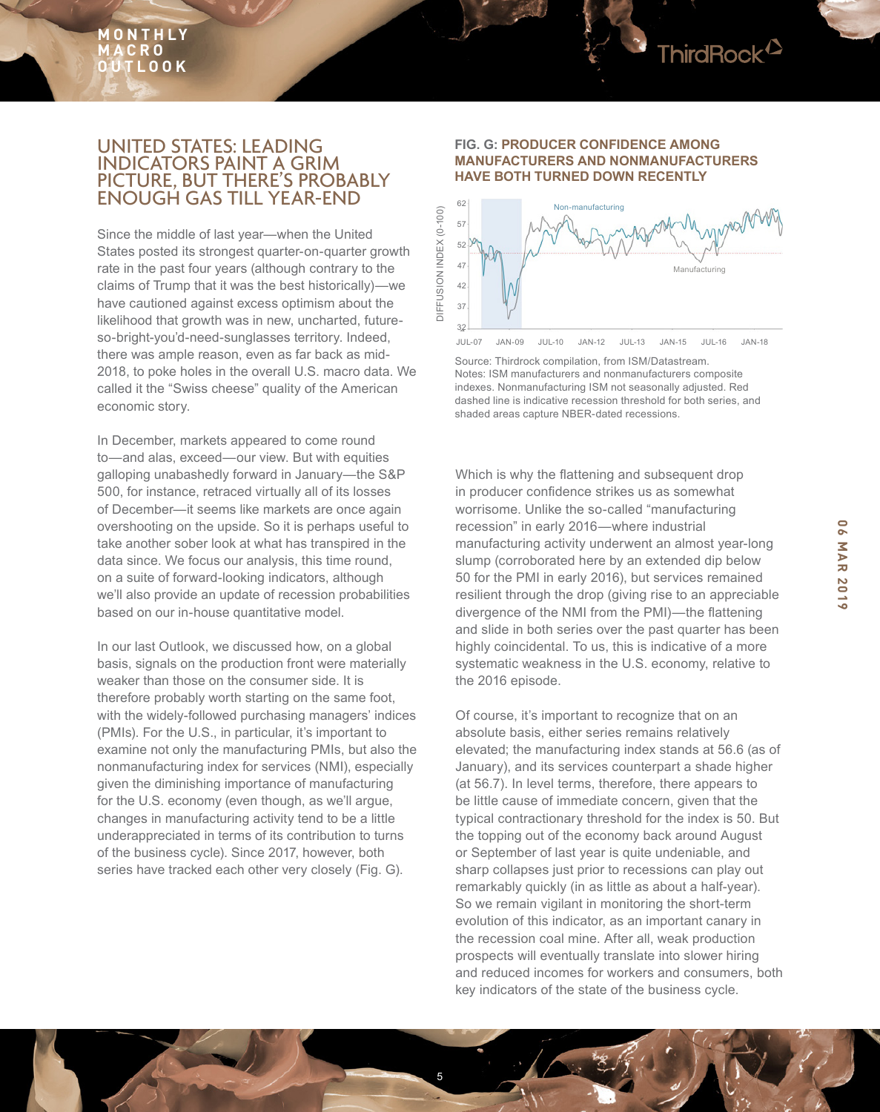

# UNITED STATES: LEADING INDICATORS PAINT A GRIM PICTURE, BUT THERE'S PROBABLY ENOUGH GAS TILL YEAR-END

Since the middle of last year—when the United States posted its strongest quarter-on-quarter growth rate in the past four years (although contrary to the claims of Trump that it was the best historically)—we have cautioned against excess optimism about the likelihood that growth was in new, uncharted, futureso-bright-you'd-need-sunglasses territory. Indeed, there was ample reason, even as far back as mid-2018, to poke holes in the overall U.S. macro data. We called it the "Swiss cheese" quality of the American economic story.

In December, markets appeared to come round to—and alas, exceed—our view. But with equities galloping unabashedly forward in January—the S&P 500, for instance, retraced virtually all of its losses of December—it seems like markets are once again overshooting on the upside. So it is perhaps useful to take another sober look at what has transpired in the data since. We focus our analysis, this time round, on a suite of forward-looking indicators, although we'll also provide an update of recession probabilities based on our in-house quantitative model.

In our last Outlook, we discussed how, on a global basis, signals on the production front were materially weaker than those on the consumer side. It is therefore probably worth starting on the same foot, with the widely-followed purchasing managers' indices (PMIs). For the U.S., in particular, it's important to examine not only the manufacturing PMIs, but also the nonmanufacturing index for services (NMI), especially given the diminishing importance of manufacturing for the U.S. economy (even though, as we'll argue, changes in manufacturing activity tend to be a little underappreciated in terms of its contribution to turns of the business cycle). Since 2017, however, both series have tracked each other very closely (Fig. G).

#### **FIG. G: PRODUCER CONFIDENCE AMONG MANUFACTURERS AND NONMANUFACTURERS HAVE BOTH TURNED DOWN RECENTLY**



Source: Thirdrock compilation, from ISM/Datastream. Notes: ISM manufacturers and nonmanufacturers composite indexes. Nonmanufacturing ISM not seasonally adjusted. Red dashed line is indicative recession threshold for both series, and shaded areas capture NBER-dated recessions.

Which is why the flattening and subsequent drop in producer confidence strikes us as somewhat worrisome. Unlike the so-called "manufacturing recession" in early 2016—where industrial manufacturing activity underwent an almost year-long slump (corroborated here by an extended dip below 50 for the PMI in early 2016), but services remained resilient through the drop (giving rise to an appreciable divergence of the NMI from the PMI)—the flattening and slide in both series over the past quarter has been highly coincidental. To us, this is indicative of a more systematic weakness in the U.S. economy, relative to the 2016 episode.

Of course, it's important to recognize that on an absolute basis, either series remains relatively elevated; the manufacturing index stands at 56.6 (as of January), and its services counterpart a shade higher (at 56.7). In level terms, therefore, there appears to be little cause of immediate concern, given that the typical contractionary threshold for the index is 50. But the topping out of the economy back around August or September of last year is quite undeniable, and sharp collapses just prior to recessions can play out remarkably quickly (in as little as about a half-year). So we remain vigilant in monitoring the short-term evolution of this indicator, as an important canary in the recession coal mine. After all, weak production prospects will eventually translate into slower hiring and reduced incomes for workers and consumers, both key indicators of the state of the business cycle.

**06 MAR 2019**

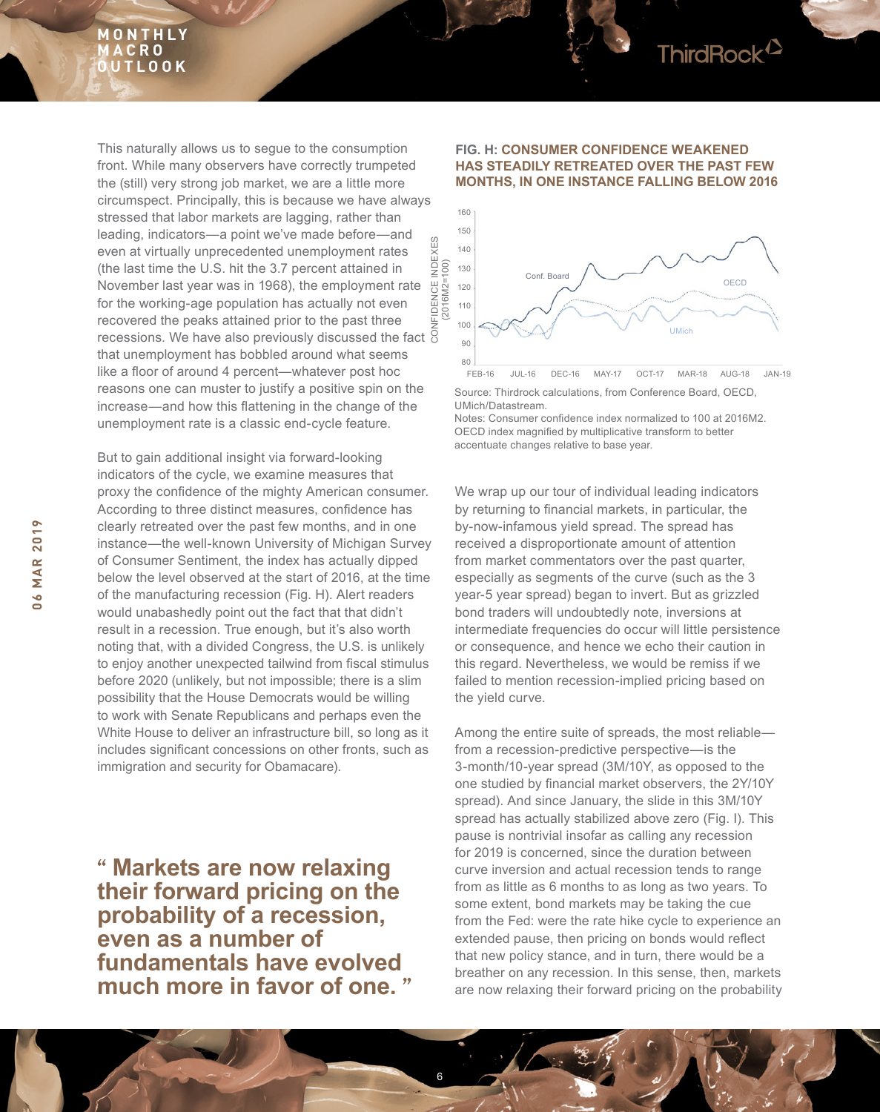

This naturally allows us to segue to the consumption front. While many observers have correctly trumpeted the (still) very strong job market, we are a little more circumspect. Principally, this is because we have always stressed that labor markets are lagging, rather than leading, indicators—a point we've made before—and even at virtually unprecedented unemployment rates (the last time the U.S. hit the 3.7 percent attained in November last year was in 1968), the employment rate for the working-age population has actually not even recovered the peaks attained prior to the past three recessions. We have also previously discussed the fact that unemployment has bobbled around what seems like a floor of around 4 percent—whatever post hoc reasons one can muster to justify a positive spin on the increase—and how this flattening in the change of the unemployment rate is a classic end-cycle feature. CONFIDENCE INDEXES

But to gain additional insight via forward-looking indicators of the cycle, we examine measures that proxy the confidence of the mighty American consumer. According to three distinct measures, confidence has clearly retreated over the past few months, and in one instance—the well-known University of Michigan Survey of Consumer Sentiment, the index has actually dipped below the level observed at the start of 2016, at the time of the manufacturing recession (Fig. H). Alert readers would unabashedly point out the fact that that didn't result in a recession. True enough, but it's also worth noting that, with a divided Congress, the U.S. is unlikely to enjoy another unexpected tailwind from fiscal stimulus before 2020 (unlikely, but not impossible; there is a slim possibility that the House Democrats would be willing to work with Senate Republicans and perhaps even the White House to deliver an infrastructure bill, so long as it includes significant concessions on other fronts, such as immigration and security for Obamacare).

**" Markets are now relaxing their forward pricing on the probability of a recession, even as a number of fundamentals have evolved much more in favor of one. "**

6

#### **FIG. H: CONSUMER CONFIDENCE WEAKENED HAS STEADILY RETREATED OVER THE PAST FEW MONTHS, IN ONE INSTANCE FALLING BELOW 2016**



Source: Thirdrock calculations, from Conference Board, OECD, UMich/Datastream. FEB-16 JUL-16 DEC-16 MAY-17 OCT-17 MAR-18 AUG-18 JAN-19

Notes: Consumer confidence index normalized to 100 at 2016M2. OECD index magnified by multiplicative transform to better accentuate changes relative to base year.

We wrap up our tour of individual leading indicators by returning to financial markets, in particular, the by-now-infamous yield spread. The spread has received a disproportionate amount of attention from market commentators over the past quarter, especially as segments of the curve (such as the 3 year-5 year spread) began to invert. But as grizzled bond traders will undoubtedly note, inversions at intermediate frequencies do occur will little persistence or consequence, and hence we echo their caution in this regard. Nevertheless, we would be remiss if we failed to mention recession-implied pricing based on the yield curve.

Among the entire suite of spreads, the most reliable from a recession-predictive perspective—is the 3-month/10-year spread (3M/10Y, as opposed to the one studied by financial market observers, the 2Y/10Y spread). And since January, the slide in this 3M/10Y spread has actually stabilized above zero (Fig. I). This pause is nontrivial insofar as calling any recession for 2019 is concerned, since the duration between curve inversion and actual recession tends to range from as little as 6 months to as long as two years. To some extent, bond markets may be taking the cue from the Fed: were the rate hike cycle to experience an extended pause, then pricing on bonds would reflect that new policy stance, and in turn, there would be a breather on any recession. In this sense, then, markets are now relaxing their forward pricing on the probability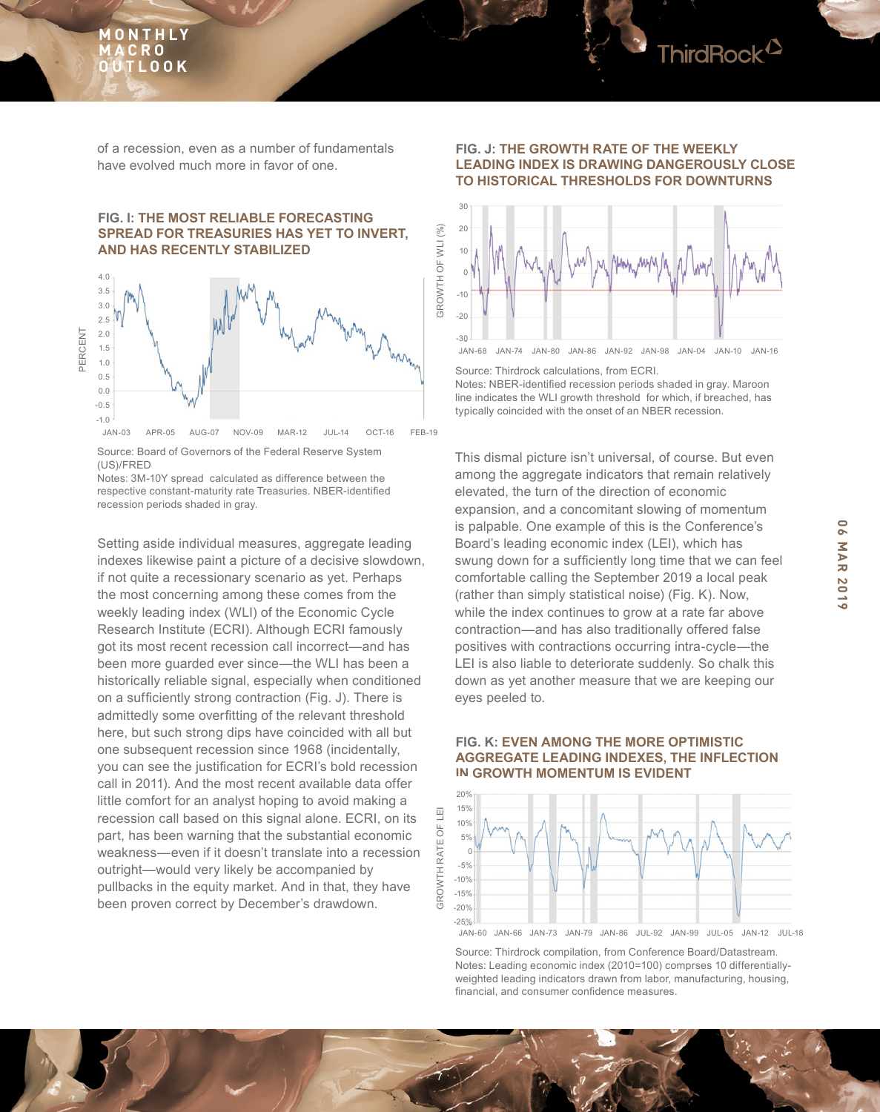

of a recession, even as a number of fundamentals have evolved much more in favor of one.

#### **FIG. I: THE MOST RELIABLE FORECASTING SPREAD FOR TREASURIES HAS YET TO INVERT, AND HAS RECENTLY STABILIZED**



Source: Board of Governors of the Federal Reserve System (US)/FRED

Notes: 3M-10Y spread calculated as difference between the respective constant-maturity rate Treasuries. NBER-identified recession periods shaded in gray.

Setting aside individual measures, aggregate leading indexes likewise paint a picture of a decisive slowdown, if not quite a recessionary scenario as yet. Perhaps the most concerning among these comes from the weekly leading index (WLI) of the Economic Cycle Research Institute (ECRI). Although ECRI famously got its most recent recession call incorrect—and has been more guarded ever since—the WLI has been a historically reliable signal, especially when conditioned on a sufficiently strong contraction (Fig. J). There is admittedly some overfitting of the relevant threshold here, but such strong dips have coincided with all but one subsequent recession since 1968 (incidentally, you can see the justification for ECRI's bold recession call in 2011). And the most recent available data offer little comfort for an analyst hoping to avoid making a recession call based on this signal alone. ECRI, on its part, has been warning that the substantial economic weakness—even if it doesn't translate into a recession outright—would very likely be accompanied by pullbacks in the equity market. And in that, they have been proven correct by December's drawdown.

#### **FIG. J: THE GROWTH RATE OF THE WEEKLY LEADING INDEX IS DRAWING DANGEROUSLY CLOSE TO HISTORICAL THRESHOLDS FOR DOWNTURNS**



Source: Thirdrock calculations, from ECRI. Notes: NBER-identified recession periods shaded in gray. Maroon line indicates the WLI growth threshold for which, if breached, has typically coincided with the onset of an NBER recession.

This dismal picture isn't universal, of course. But even among the aggregate indicators that remain relatively elevated, the turn of the direction of economic expansion, and a concomitant slowing of momentum is palpable. One example of this is the Conference's Board's leading economic index (LEI), which has swung down for a sufficiently long time that we can feel comfortable calling the September 2019 a local peak (rather than simply statistical noise) (Fig. K). Now, while the index continues to grow at a rate far above contraction—and has also traditionally offered false positives with contractions occurring intra-cycle—the LEI is also liable to deteriorate suddenly. So chalk this down as yet another measure that we are keeping our eyes peeled to.

#### **FIG. K: EVEN AMONG THE MORE OPTIMISTIC AGGREGATE LEADING INDEXES, THE INFLECTION IN GROWTH MOMENTUM IS EVIDENT**



Source: Thirdrock compilation, from Conference Board/Datastream. Notes: Leading economic index (2010=100) comprses 10 differentiallyweighted leading indicators drawn from labor, manufacturing, housing, financial, and consumer confidence measures.

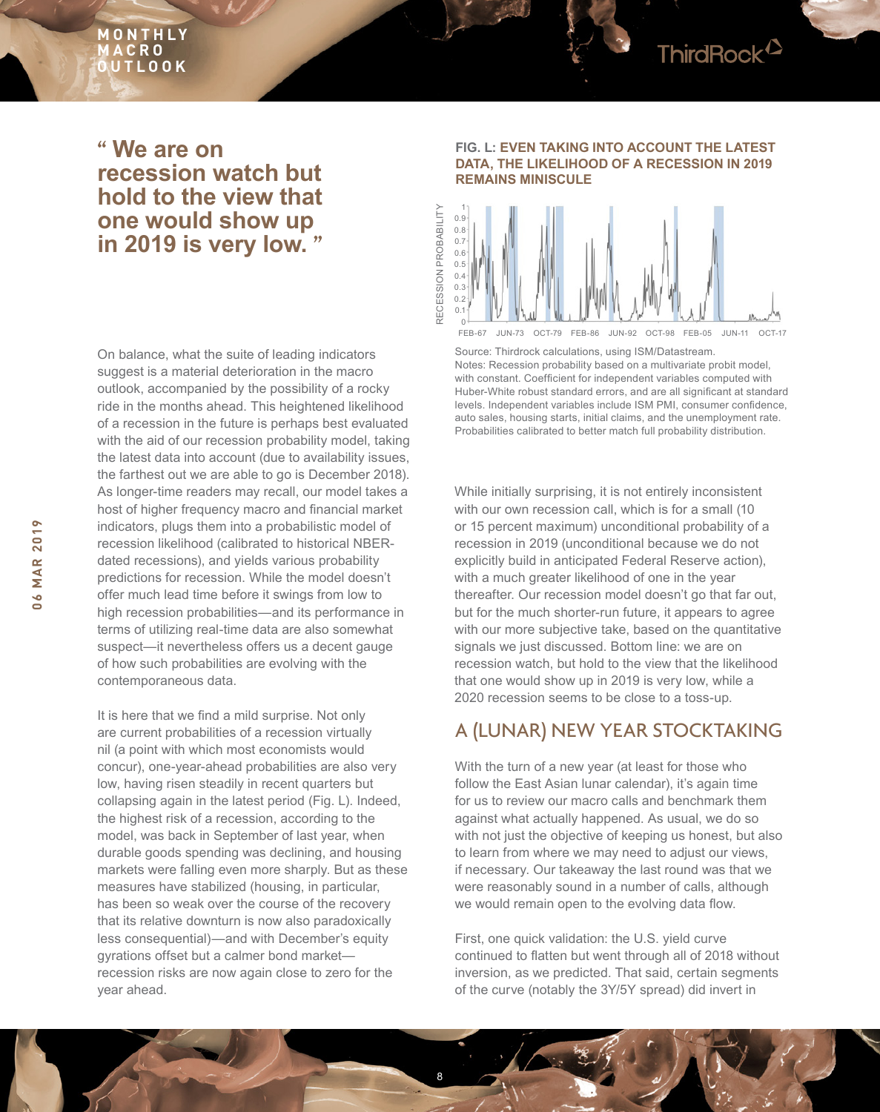

# **" We are on recession watch but hold to the view that one would show up in 2019 is very low. "**

On balance, what the suite of leading indicators suggest is a material deterioration in the macro outlook, accompanied by the possibility of a rocky ride in the months ahead. This heightened likelihood of a recession in the future is perhaps best evaluated with the aid of our recession probability model, taking the latest data into account (due to availability issues, the farthest out we are able to go is December 2018). As longer-time readers may recall, our model takes a host of higher frequency macro and financial market indicators, plugs them into a probabilistic model of recession likelihood (calibrated to historical NBERdated recessions), and yields various probability predictions for recession. While the model doesn't offer much lead time before it swings from low to high recession probabilities—and its performance in terms of utilizing real-time data are also somewhat suspect—it nevertheless offers us a decent gauge of how such probabilities are evolving with the contemporaneous data.

It is here that we find a mild surprise. Not only are current probabilities of a recession virtually nil (a point with which most economists would concur), one-year-ahead probabilities are also very low, having risen steadily in recent quarters but collapsing again in the latest period (Fig. L). Indeed, the highest risk of a recession, according to the model, was back in September of last year, when durable goods spending was declining, and housing markets were falling even more sharply. But as these measures have stabilized (housing, in particular, has been so weak over the course of the recovery that its relative downturn is now also paradoxically less consequential)—and with December's equity gyrations offset but a calmer bond market recession risks are now again close to zero for the year ahead.

#### **FIG. L: EVEN TAKING INTO ACCOUNT THE LATEST DATA, THE LIKELIHOOD OF A RECESSION IN 2019 REMAINS MINISCULE**



FEB-67 JUN-73 OCT-79 FEB-86 JUN-92 OCT-98 FEB-05 JUN-11 OCT-17

Source: Thirdrock calculations, using ISM/Datastream. Notes: Recession probability based on a multivariate probit model, with constant. Coefficient for independent variables computed with Huber-White robust standard errors, and are all significant at standard levels. Independent variables include ISM PMI, consumer confidence, auto sales, housing starts, initial claims, and the unemployment rate. Probabilities calibrated to better match full probability distribution.

While initially surprising, it is not entirely inconsistent with our own recession call, which is for a small (10 or 15 percent maximum) unconditional probability of a recession in 2019 (unconditional because we do not explicitly build in anticipated Federal Reserve action), with a much greater likelihood of one in the year thereafter. Our recession model doesn't go that far out, but for the much shorter-run future, it appears to agree with our more subiective take, based on the quantitative signals we just discussed. Bottom line: we are on recession watch, but hold to the view that the likelihood that one would show up in 2019 is very low, while a 2020 recession seems to be close to a toss-up.

# A (LUNAR) NEW YEAR STOCKTAKING

With the turn of a new year (at least for those who follow the East Asian lunar calendar), it's again time for us to review our macro calls and benchmark them against what actually happened. As usual, we do so with not just the objective of keeping us honest, but also to learn from where we may need to adjust our views, if necessary. Our takeaway the last round was that we were reasonably sound in a number of calls, although we would remain open to the evolving data flow.

First, one quick validation: the U.S. yield curve continued to flatten but went through all of 2018 without inversion, as we predicted. That said, certain segments of the curve (notably the 3Y/5Y spread) did invert in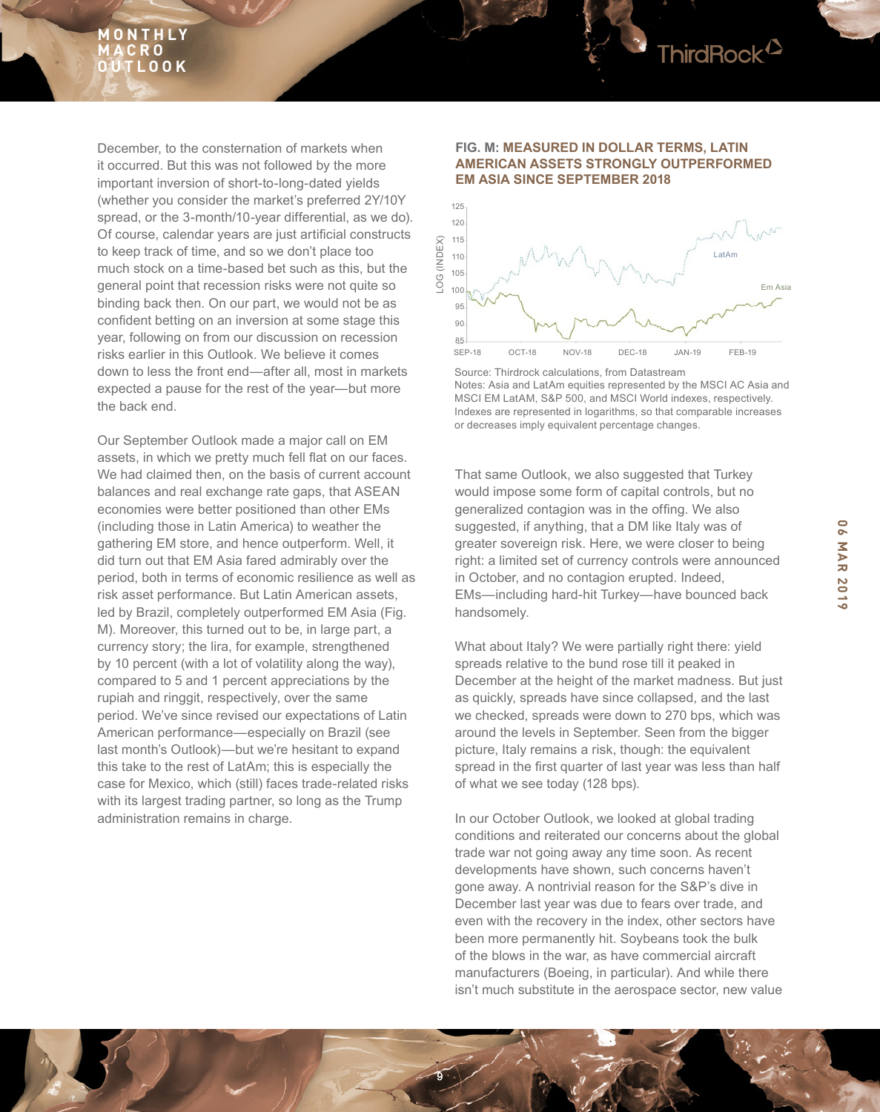

December, to the consternation of markets when it occurred. But this was not followed by the more important inversion of short-to-long-dated yields (whether you consider the market's preferred 2Y/10Y spread, or the 3-month/10-year differential, as we do). Of course, calendar years are just artificial constructs to keep track of time, and so we don't place too much stock on a time-based bet such as this, but the general point that recession risks were not quite so binding back then. On our part, we would not be as confident betting on an inversion at some stage this year, following on from our discussion on recession risks earlier in this Outlook. We believe it comes down to less the front end—after all, most in markets expected a pause for the rest of the year—but more the back end.

Our September Outlook made a major call on EM assets, in which we pretty much fell flat on our faces. We had claimed then, on the basis of current account balances and real exchange rate gaps, that ASEAN economies were better positioned than other EMs (including those in Latin America) to weather the gathering EM store, and hence outperform. Well, it did turn out that EM Asia fared admirably over the period, both in terms of economic resilience as well as risk asset performance. But Latin American assets, led by Brazil, completely outperformed EM Asia (Fig. M). Moreover, this turned out to be, in large part, a currency story; the lira, for example, strengthened by 10 percent (with a lot of volatility along the way), compared to 5 and 1 percent appreciations by the rupiah and ringgit, respectively, over the same period. We've since revised our expectations of Latin American performance—especially on Brazil (see last month's Outlook)—but we're hesitant to expand this take to the rest of LatAm; this is especially the case for Mexico, which (still) faces trade-related risks with its largest trading partner, so long as the Trump administration remains in charge.

#### **FIG. M: MEASURED IN DOLLAR TERMS, LATIN AMERICAN ASSETS STRONGLY OUTPERFORMED EM ASIA SINCE SEPTEMBER 2018**



Source: Thirdrock calculations, from Datastream Notes: Asia and LatAm equities represented by the MSCI AC Asia and MSCI EM LatAM, S&P 500, and MSCI World indexes, respectively. Indexes are represented in logarithms, so that comparable increases or decreases imply equivalent percentage changes.

That same Outlook, we also suggested that Turkey would impose some form of capital controls, but no generalized contagion was in the offing. We also suggested, if anything, that a DM like Italy was of greater sovereign risk. Here, we were closer to being right: a limited set of currency controls were announced in October, and no contagion erupted. Indeed, EMs—including hard-hit Turkey—have bounced back handsomely.

What about Italy? We were partially right there: yield spreads relative to the bund rose till it peaked in December at the height of the market madness. But just as quickly, spreads have since collapsed, and the last we checked, spreads were down to 270 bps, which was around the levels in September. Seen from the bigger picture, Italy remains a risk, though: the equivalent spread in the first quarter of last year was less than half of what we see today (128 bps).

In our October Outlook, we looked at global trading conditions and reiterated our concerns about the global trade war not going away any time soon. As recent developments have shown, such concerns haven't gone away. A nontrivial reason for the S&P's dive in December last year was due to fears over trade, and even with the recovery in the index, other sectors have been more permanently hit. Soybeans took the bulk of the blows in the war, as have commercial aircraft manufacturers (Boeing, in particular). And while there isn't much substitute in the aerospace sector, new value

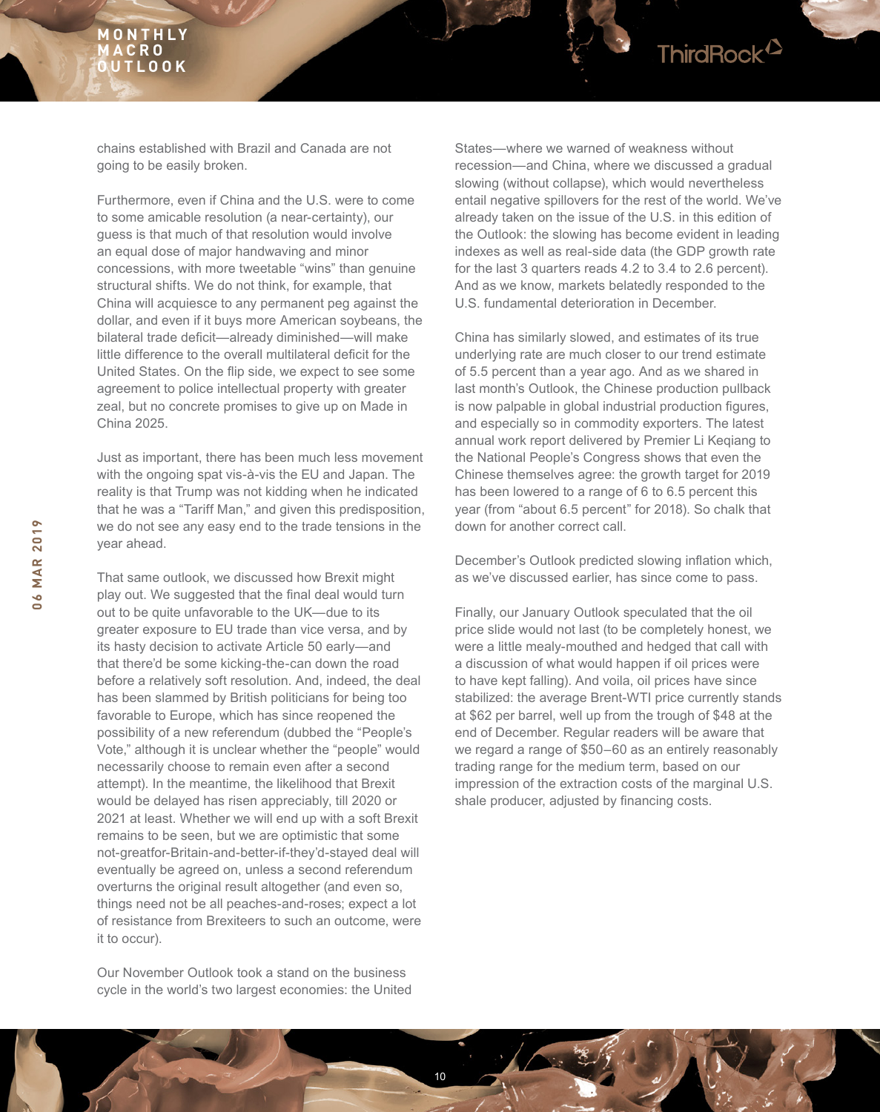

chains established with Brazil and Canada are not going to be easily broken.

Furthermore, even if China and the U.S. were to come to some amicable resolution (a near-certainty), our guess is that much of that resolution would involve an equal dose of major handwaving and minor concessions, with more tweetable "wins" than genuine structural shifts. We do not think, for example, that China will acquiesce to any permanent peg against the dollar, and even if it buys more American soybeans, the bilateral trade deficit—already diminished—will make little difference to the overall multilateral deficit for the United States. On the flip side, we expect to see some agreement to police intellectual property with greater zeal, but no concrete promises to give up on Made in China 2025.

Just as important, there has been much less movement with the ongoing spat vis-à-vis the EU and Japan. The reality is that Trump was not kidding when he indicated that he was a "Tariff Man," and given this predisposition, we do not see any easy end to the trade tensions in the year ahead.

That same outlook, we discussed how Brexit might play out. We suggested that the final deal would turn out to be quite unfavorable to the UK—due to its greater exposure to EU trade than vice versa, and by its hasty decision to activate Article 50 early—and that there'd be some kicking-the-can down the road before a relatively soft resolution. And, indeed, the deal has been slammed by British politicians for being too favorable to Europe, which has since reopened the possibility of a new referendum (dubbed the "People's Vote," although it is unclear whether the "people" would necessarily choose to remain even after a second attempt). In the meantime, the likelihood that Brexit would be delayed has risen appreciably, till 2020 or 2021 at least. Whether we will end up with a soft Brexit remains to be seen, but we are optimistic that some not-greatfor-Britain-and-better-if-they'd-stayed deal will eventually be agreed on, unless a second referendum overturns the original result altogether (and even so, things need not be all peaches-and-roses; expect a lot of resistance from Brexiteers to such an outcome, were it to occur).

Our November Outlook took a stand on the business cycle in the world's two largest economies: the United

10

States—where we warned of weakness without recession—and China, where we discussed a gradual slowing (without collapse), which would nevertheless entail negative spillovers for the rest of the world. We've already taken on the issue of the U.S. in this edition of the Outlook: the slowing has become evident in leading indexes as well as real-side data (the GDP growth rate for the last 3 quarters reads 4.2 to 3.4 to 2.6 percent). And as we know, markets belatedly responded to the U.S. fundamental deterioration in December.

China has similarly slowed, and estimates of its true underlying rate are much closer to our trend estimate of 5.5 percent than a year ago. And as we shared in last month's Outlook, the Chinese production pullback is now palpable in global industrial production figures, and especially so in commodity exporters. The latest annual work report delivered by Premier Li Keqiang to the National People's Congress shows that even the Chinese themselves agree: the growth target for 2019 has been lowered to a range of 6 to 6.5 percent this year (from "about 6.5 percent" for 2018). So chalk that down for another correct call.

December's Outlook predicted slowing inflation which, as we've discussed earlier, has since come to pass.

Finally, our January Outlook speculated that the oil price slide would not last (to be completely honest, we were a little mealy-mouthed and hedged that call with a discussion of what would happen if oil prices were to have kept falling). And voila, oil prices have since stabilized: the average Brent-WTI price currently stands at \$62 per barrel, well up from the trough of \$48 at the end of December. Regular readers will be aware that we regard a range of \$50–60 as an entirely reasonably trading range for the medium term, based on our impression of the extraction costs of the marginal U.S. shale producer, adjusted by financing costs.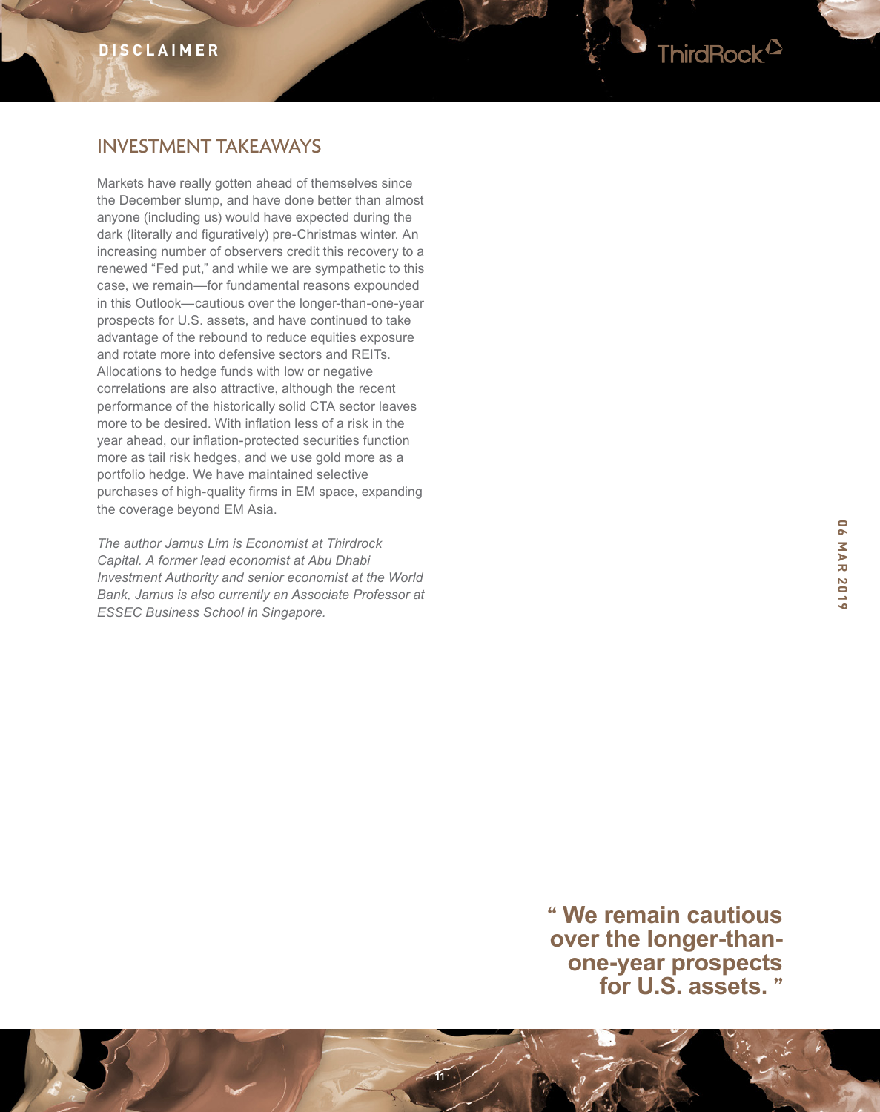

# INVESTMENT TAKEAWAYS

Markets have really gotten ahead of themselves since the December slump, and have done better than almost anyone (including us) would have expected during the dark (literally and figuratively) pre-Christmas winter. An increasing number of observers credit this recovery to a renewed "Fed put," and while we are sympathetic to this case, we remain—for fundamental reasons expounded in this Outlook—cautious over the longer-than-one-year prospects for U.S. assets, and have continued to take advantage of the rebound to reduce equities exposure and rotate more into defensive sectors and REITs. Allocations to hedge funds with low or negative correlations are also attractive, although the recent performance of the historically solid CTA sector leaves more to be desired. With inflation less of a risk in the year ahead, our inflation-protected securities function more as tail risk hedges, and we use gold more as a portfolio hedge. We have maintained selective purchases of high-quality firms in EM space, expanding the coverage beyond EM Asia.

*The author Jamus Lim is Economist at Thirdrock Capital. A former lead economist at Abu Dhabi Investment Authority and senior economist at the World Bank, Jamus is also currently an Associate Professor at ESSEC Business School in Singapore.*

> **" We remain cautious over the longer-thanone-year prospects for U.S. assets. "**